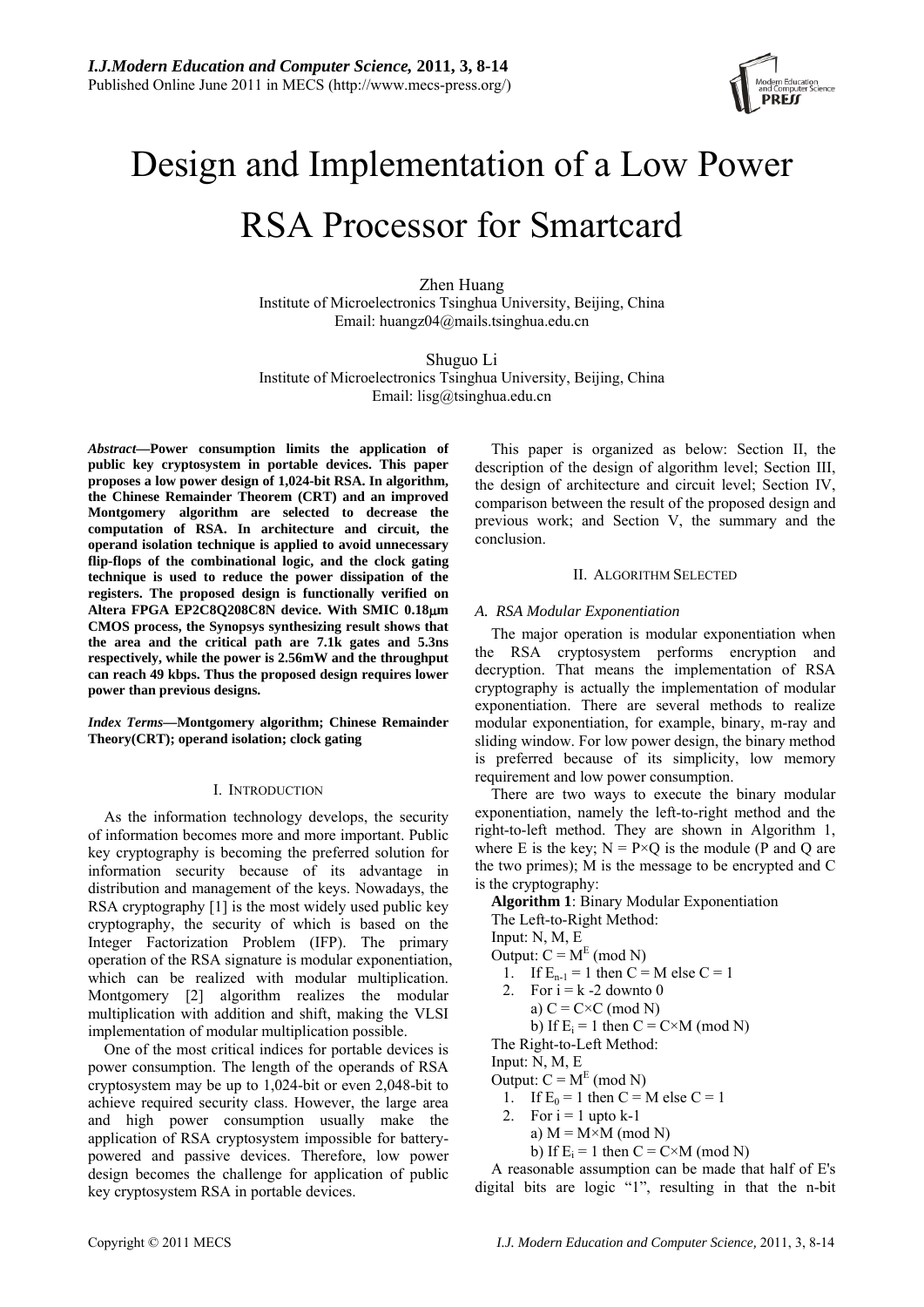

# Design and Implementation of a Low Power RSA Processor for Smartcard

Zhen Huang Institute of Microelectronics Tsinghua University, Beijing, China Email: huangz04@mails.tsinghua.edu.cn

Shuguo Li Institute of Microelectronics Tsinghua University, Beijing, China Email: lisg@tsinghua.edu.cn

*Abstract***—Power consumption limits the application of public key cryptosystem in portable devices. This paper proposes a low power design of 1,024-bit RSA. In algorithm, the Chinese Remainder Theorem (CRT) and an improved Montgomery algorithm are selected to decrease the computation of RSA. In architecture and circuit, the operand isolation technique is applied to avoid unnecessary flip-flops of the combinational logic, and the clock gating technique is used to reduce the power dissipation of the registers. The proposed design is functionally verified on Altera FPGA EP2C8Q208C8N device. With SMIC 0.18**μ**m CMOS process, the Synopsys synthesizing result shows that the area and the critical path are 7.1k gates and 5.3ns respectively, while the power is 2.56mW and the throughput can reach 49 kbps. Thus the proposed design requires lower power than previous designs.** 

*Index Terms***—Montgomery algorithm; Chinese Remainder Theory(CRT); operand isolation; clock gating** 

## I. INTRODUCTION

As the information technology develops, the security of information becomes more and more important. Public key cryptography is becoming the preferred solution for information security because of its advantage in distribution and management of the keys. Nowadays, the RSA cryptography [1] is the most widely used public key cryptography, the security of which is based on the Integer Factorization Problem (IFP). The primary operation of the RSA signature is modular exponentiation, which can be realized with modular multiplication. Montgomery [2] algorithm realizes the modular multiplication with addition and shift, making the VLSI implementation of modular multiplication possible.

One of the most critical indices for portable devices is power consumption. The length of the operands of RSA cryptosystem may be up to 1,024-bit or even 2,048-bit to achieve required security class. However, the large area and high power consumption usually make the application of RSA cryptosystem impossible for batterypowered and passive devices. Therefore, low power design becomes the challenge for application of public key cryptosystem RSA in portable devices.

This paper is organized as below: Section II, the description of the design of algorithm level; Section III, the design of architecture and circuit level; Section IV, comparison between the result of the proposed design and previous work; and Section V, the summary and the conclusion.

## II. ALGORITHM SELECTED

# *A. RSA Modular Exponentiation*

The major operation is modular exponentiation when the RSA cryptosystem performs encryption and decryption. That means the implementation of RSA cryptography is actually the implementation of modular exponentiation. There are several methods to realize modular exponentiation, for example, binary, m-ray and sliding window. For low power design, the binary method is preferred because of its simplicity, low memory requirement and low power consumption.

There are two ways to execute the binary modular exponentiation, namely the left-to-right method and the right-to-left method. They are shown in Algorithm 1, where E is the key;  $N = P \times Q$  is the module (P and Q are the two primes); M is the message to be encrypted and C is the cryptography:

**Algorithm 1**: Binary Modular Exponentiation The Left-to-Right Method:

- Input: N, M, E
- Output:  $C = M<sup>E</sup>$  (mod N)
- 1. If  $E_{n-1} = 1$  then  $C = M$  else  $C = 1$
- 2. For  $i = k 2$  downto 0
- a)  $C = C \times C \pmod{N}$ 
	- b) If  $E_i = 1$  then  $C = C \times M$  (mod N)

The Right-to-Left Method:

Input: N, M, E

- Output:  $C = M<sup>E</sup>$  (mod N)
	- 1. If  $E_0 = 1$  then  $C = M$  else  $C = 1$
	- 2. For  $i = 1$  upto  $k-1$ 
		- a)  $M = M \times M \pmod{N}$ 
			- b) If  $E_i = 1$  then  $C = C \times M$  (mod N)

A reasonable assumption can be made that half of E's digital bits are logic "1", resulting in that the n-bit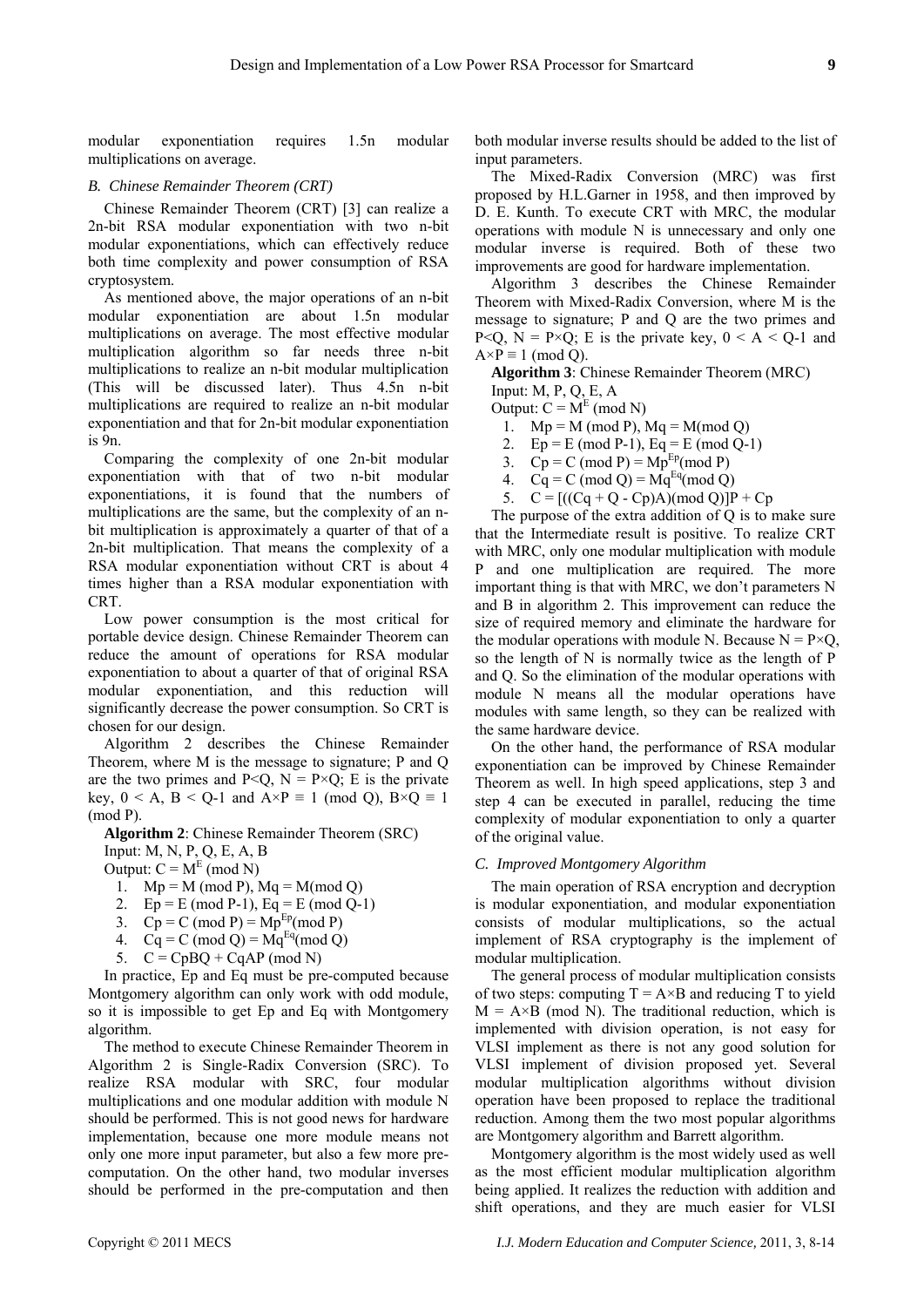modular exponentiation requires 1.5n modular multiplications on average.

## *B. Chinese Remainder Theorem (CRT)*

Chinese Remainder Theorem (CRT) [3] can realize a 2n-bit RSA modular exponentiation with two n-bit modular exponentiations, which can effectively reduce both time complexity and power consumption of RSA cryptosystem.

As mentioned above, the major operations of an n-bit modular exponentiation are about 1.5n modular multiplications on average. The most effective modular multiplication algorithm so far needs three n-bit multiplications to realize an n-bit modular multiplication (This will be discussed later). Thus 4.5n n-bit multiplications are required to realize an n-bit modular exponentiation and that for 2n-bit modular exponentiation is 9n.

Comparing the complexity of one 2n-bit modular exponentiation with that of two n-bit modular exponentiations, it is found that the numbers of multiplications are the same, but the complexity of an nbit multiplication is approximately a quarter of that of a 2n-bit multiplication. That means the complexity of a RSA modular exponentiation without CRT is about 4 times higher than a RSA modular exponentiation with CRT.

Low power consumption is the most critical for portable device design. Chinese Remainder Theorem can reduce the amount of operations for RSA modular exponentiation to about a quarter of that of original RSA modular exponentiation, and this reduction will significantly decrease the power consumption. So CRT is chosen for our design.

Algorithm 2 describes the Chinese Remainder Theorem, where M is the message to signature; P and Q are the two primes and  $P < Q$ ,  $N = P \times Q$ ; E is the private key,  $0 \le A$ ,  $B \le Q$ -1 and  $A \times P \equiv 1 \pmod{Q}$ ,  $B \times Q \equiv 1$ (mod P).

**Algorithm 2**: Chinese Remainder Theorem (SRC)

Input: M, N, P, Q, E, A, B

Output:  $C = M<sup>E</sup>$  (mod N)

- 1.  $Mp = M \pmod{P}$ ,  $Mq = M \pmod{Q}$
- 2.  $Ep = E \pmod{P-1}$ ,  $Eq = E \pmod{Q-1}$
- 3.  $Cp = C \pmod{P} = Mp^{Ep} \pmod{P}$
- 4.  $Cq = C \pmod{Q} = Mg^{Eq} \pmod{Q}$
- 5.  $C = CpBQ + CqAP \pmod{N}$

In practice, Ep and Eq must be pre-computed because Montgomery algorithm can only work with odd module, so it is impossible to get Ep and Eq with Montgomery algorithm.

The method to execute Chinese Remainder Theorem in Algorithm 2 is Single-Radix Conversion (SRC). To realize RSA modular with SRC, four modular multiplications and one modular addition with module N should be performed. This is not good news for hardware implementation, because one more module means not only one more input parameter, but also a few more precomputation. On the other hand, two modular inverses should be performed in the pre-computation and then both modular inverse results should be added to the list of input parameters.

The Mixed-Radix Conversion (MRC) was first proposed by H.L.Garner in 1958, and then improved by D. E. Kunth. To execute CRT with MRC, the modular operations with module N is unnecessary and only one modular inverse is required. Both of these two improvements are good for hardware implementation.

Algorithm 3 describes the Chinese Remainder Theorem with Mixed-Radix Conversion, where M is the message to signature; P and Q are the two primes and P<Q,  $N = P \times Q$ ; E is the private key,  $0 \le A \le Q-1$  and  $A \times P \equiv 1 \pmod{Q}$ .

**Algorithm 3**: Chinese Remainder Theorem (MRC) Input: M, P, Q, E, A

Output:  $C = M<sup>E</sup>$  (mod N)

- 1.  $Mp = M \pmod{P}$ ,  $Mq = M \pmod{Q}$
- 2.  $Ep = E \pmod{P-1}$ ,  $Eq = E \pmod{Q-1}$
- 3.  $Cp = C \pmod{P} = Mp^{Ep} \pmod{P}$
- 4.  $Cq = C \pmod{Q} = Mq^{Eq} \pmod{Q}$
- 5.  $C = [((Cq + Q Cp)A)(mod Q)]P + Cp$

The purpose of the extra addition of Q is to make sure that the Intermediate result is positive. To realize CRT with MRC, only one modular multiplication with module P and one multiplication are required. The more important thing is that with MRC, we don't parameters N and B in algorithm 2. This improvement can reduce the size of required memory and eliminate the hardware for the modular operations with module N. Because  $N = P \times Q$ , so the length of N is normally twice as the length of P and Q. So the elimination of the modular operations with module N means all the modular operations have modules with same length, so they can be realized with the same hardware device.

On the other hand, the performance of RSA modular exponentiation can be improved by Chinese Remainder Theorem as well. In high speed applications, step 3 and step 4 can be executed in parallel, reducing the time complexity of modular exponentiation to only a quarter of the original value.

#### *C. Improved Montgomery Algorithm*

The main operation of RSA encryption and decryption is modular exponentiation, and modular exponentiation consists of modular multiplications, so the actual implement of RSA cryptography is the implement of modular multiplication.

The general process of modular multiplication consists of two steps: computing  $T = A \times B$  and reducing T to yield  $M = A \times B$  (mod N). The traditional reduction, which is implemented with division operation, is not easy for VLSI implement as there is not any good solution for VLSI implement of division proposed yet. Several modular multiplication algorithms without division operation have been proposed to replace the traditional reduction. Among them the two most popular algorithms are Montgomery algorithm and Barrett algorithm.

Montgomery algorithm is the most widely used as well as the most efficient modular multiplication algorithm being applied. It realizes the reduction with addition and shift operations, and they are much easier for VLSI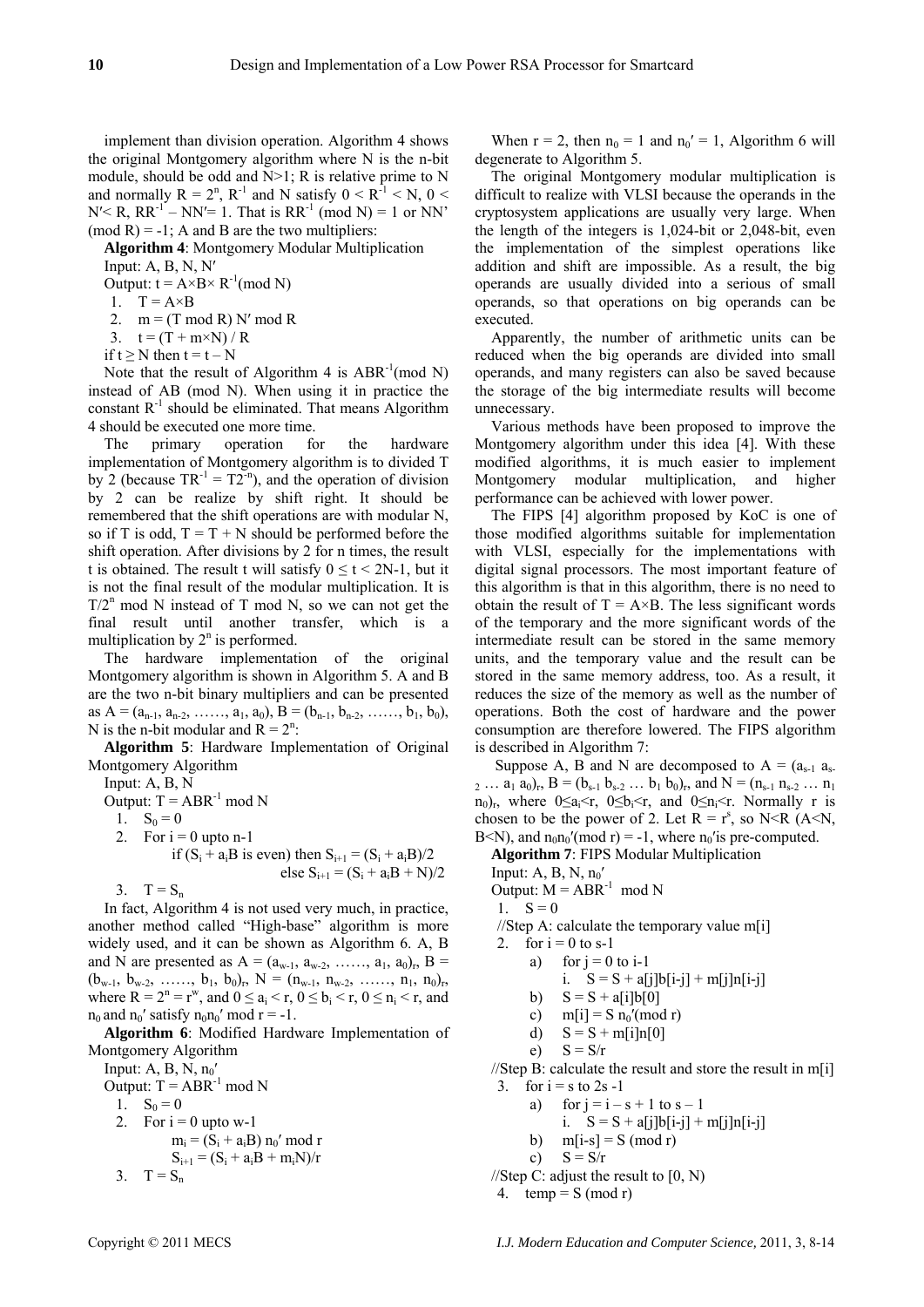implement than division operation. Algorithm 4 shows the original Montgomery algorithm where N is the n-bit module, should be odd and  $N>1$ ; R is relative prime to N and normally  $R = 2^n$ ,  $R^{-1}$  and N satisfy  $0 \le R^{-1} \le N$ ,  $0 \le R^{-1}$  $N' < R$ ,  $RR^{-1} - NN' = 1$ . That is  $RR^{-1} \pmod{N} = 1$  or  $NN'$  $(mod R) = -1$ ; A and B are the two multipliers:

**Algorithm 4**: Montgomery Modular Multiplication

Input: A, B, N, N'

Output:  $t = A \times B \times R^{-1} \pmod{N}$ 

1.  $T = A \times B$ 

2.  $m = (T \mod R) N' \mod R$ 

3.  $t = (T + m \times N) / R$ 

if  $t \ge N$  then  $t = t - N$ 

Note that the result of Algorithm 4 is  $ABR^{-1}(\text{mod } N)$ instead of AB (mod N). When using it in practice the constant  $R^{-1}$  should be eliminated. That means Algorithm 4 should be executed one more time.

The primary operation for the hardware implementation of Montgomery algorithm is to divided T by 2 (because  $TR^{-1} = T2^{-n}$ ), and the operation of division by 2 can be realize by shift right. It should be remembered that the shift operations are with modular N, so if T is odd,  $T = T + N$  should be performed before the shift operation. After divisions by 2 for n times, the result t is obtained. The result t will satisfy  $0 \le t < 2N-1$ , but it is not the final result of the modular multiplication. It is  $T/2^n$  mod N instead of T mod N, so we can not get the final result until another transfer, which is a multiplication by  $2<sup>n</sup>$  is performed.

The hardware implementation of the original Montgomery algorithm is shown in Algorithm 5. A and B are the two n-bit binary multipliers and can be presented as  $A = (a_{n-1}, a_{n-2}, \ldots, a_1, a_0), B = (b_{n-1}, b_{n-2}, \ldots, b_1, b_0),$ N is the n-bit modular and  $R = 2^n$ :

**Algorithm 5**: Hardware Implementation of Original Montgomery Algorithm

Input: A, B, N

Output:  $T = ABR^{-1} \mod N$ 

1.  $S_0 = 0$ 

2. For  $i = 0$  upto n-1

if  $(S_i + a_iB$  is even) then  $S_{i+1} = (S_i + a_iB)/2$ else  $S_{i+1} = (S_i + a_iB + N)/2$ 

 $3.$  T =  $S_n$ In fact, Algorithm 4 is not used very much, in practice, another method called "High-base" algorithm is more widely used, and it can be shown as Algorithm 6. A, B and N are presented as  $A = (a_{w-1}, a_{w-2}, \ldots, a_1, a_0)_r$ ,  $B =$  $(b_{w-1}, b_{w-2}, \ldots, b_1, b_0)_r$ ,  $N = (n_{w-1}, n_{w-2}, \ldots, n_1, n_0)_r$ where  $R = 2^n = r^w$ , and  $0 \le a_i < r$ ,  $0 \le b_i < r$ ,  $0 \le n_i < r$ , and  $n_0$  and  $n_0'$  satisfy  $n_0n_0'$  mod  $r = -1$ .

**Algorithm 6**: Modified Hardware Implementation of Montgomery Algorithm

Input: A, B, N,  $n_0'$ Output:  $T = ABR^{-1} \mod N$ 1.  $S_0 = 0$ 2. For  $i = 0$  upto w-1  $m_i = (S_i + a_i B) n_0' \text{ mod } r$  $S_{i+1} = (S_i + a_iB + m_iN)/r$ 

3. 
$$
T = S_n
$$

When  $r = 2$ , then  $n_0 = 1$  and  $n_0' = 1$ , Algorithm 6 will degenerate to Algorithm 5.

The original Montgomery modular multiplication is difficult to realize with VLSI because the operands in the cryptosystem applications are usually very large. When the length of the integers is 1,024-bit or 2,048-bit, even the implementation of the simplest operations like addition and shift are impossible. As a result, the big operands are usually divided into a serious of small operands, so that operations on big operands can be executed.

Apparently, the number of arithmetic units can be reduced when the big operands are divided into small operands, and many registers can also be saved because the storage of the big intermediate results will become unnecessary.

Various methods have been proposed to improve the Montgomery algorithm under this idea [4]. With these modified algorithms, it is much easier to implement Montgomery modular multiplication, and higher performance can be achieved with lower power.

The FIPS [4] algorithm proposed by KoC is one of those modified algorithms suitable for implementation with VLSI, especially for the implementations with digital signal processors. The most important feature of this algorithm is that in this algorithm, there is no need to obtain the result of  $T = A \times B$ . The less significant words of the temporary and the more significant words of the intermediate result can be stored in the same memory units, and the temporary value and the result can be stored in the same memory address, too. As a result, it reduces the size of the memory as well as the number of operations. Both the cost of hardware and the power consumption are therefore lowered. The FIPS algorithm is described in Algorithm 7:

Suppose A, B and N are decomposed to  $A = (a_{s-1}, a_{s-1})$ 2 …  $a_1 a_0$ <sub>r</sub>,  $B = (b_{s-1} b_{s-2} ... b_1 b_0)$ <sub>r</sub>, and  $N = (n_{s-1} n_{s-2} ... n_1)$  $n_0$ <sub>r</sub>, where  $0 \le a_i < r$ ,  $0 \le b_i < r$ , and  $0 \le n_i < r$ . Normally r is chosen to be the power of 2. Let  $R = r^s$ , so N<R (A<N, B<N), and  $n_0n_0'(mod r) = -1$ , where  $n_0$ 'is pre-computed.

**Algorithm 7**: FIPS Modular Multiplication

Input: A, B, N,  $n_0'$ 

Output:  $M = ABR^{-1} \mod N$ 

1.  $S = 0$ 

//Step A: calculate the temporary value m[i]

- 2. for  $i = 0$  to s-1
	- a) for  $j = 0$  to  $i-1$ 
		- i.  $S = S + a[i]b[i-j] + m[i]n[i-j]$
	- b)  $S = S + a[i]b[0]$
	- c)  $m[i] = S n_0' (mod r)$

d) 
$$
S = S + m[i]n[0]
$$

$$
e) \tS = S/r
$$

//Step B: calculate the result and store the result in  $m[i]$ 3. for  $i = s$  to  $2s - 1$ 

- a) for  $j = i s + 1$  to  $s 1$ 
	- i.  $S = S + a[j]b[i-j] + m[j]n[i-j]$
- b)  $m[i-s] = S \pmod{r}$
- c)  $S = S/r$
- //Step C: adjust the result to  $[0, N)$
- 4.  $temp = S (mod r)$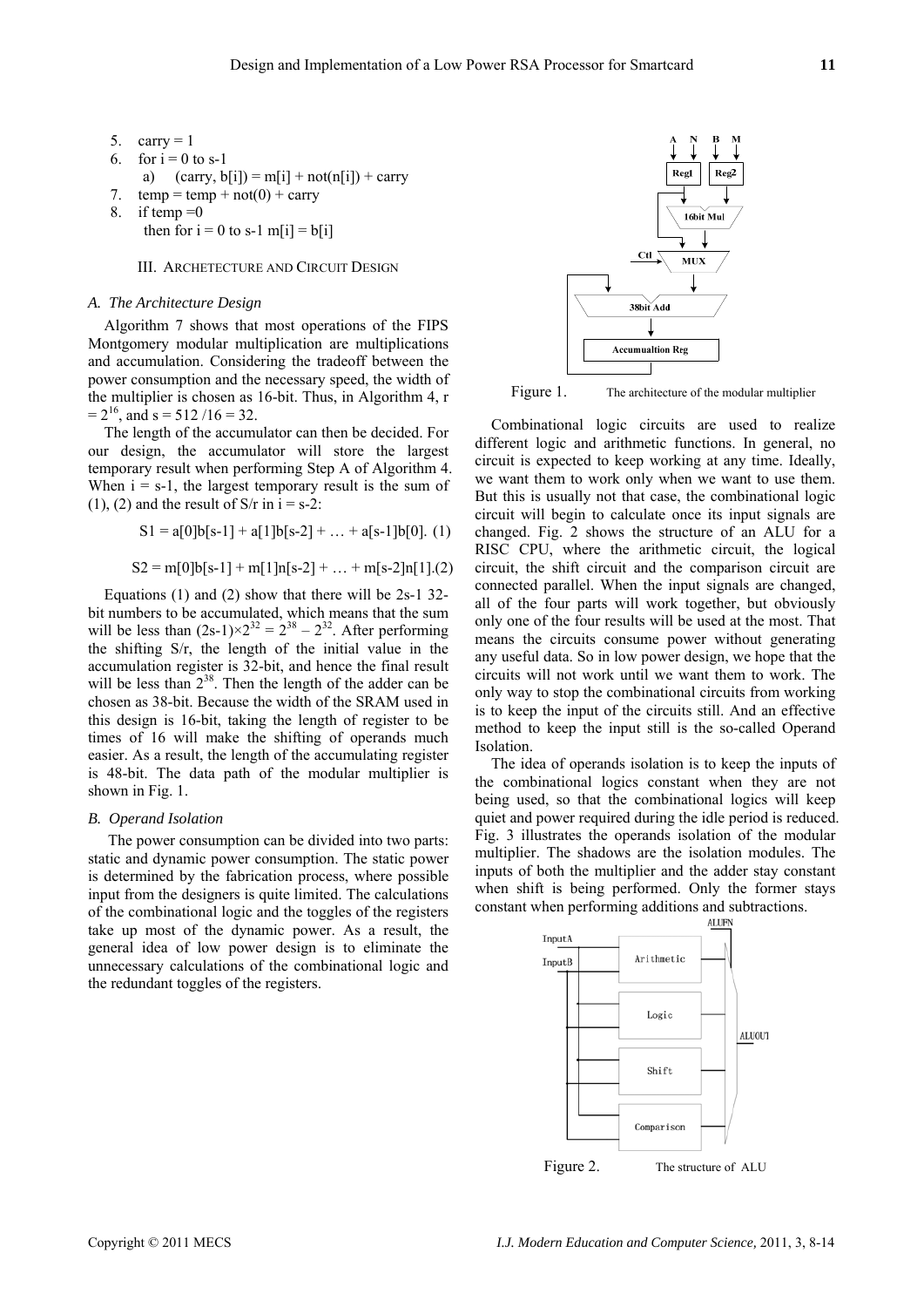- 5. carry  $= 1$
- 6. for  $i = 0$  to s-1
- a)  $(\text{carry}, \text{ b[i]}) = m[i] + \text{not}(n[i]) + \text{carry}$
- 7.  $temp = temp + not(0) + carry$
- 8. if temp  $=0$

```
then for i = 0 to s-1 m[i] = b[i]
```
## III. ARCHETECTURE AND CIRCUIT DESIGN

#### *A. The Architecture Design*

Algorithm 7 shows that most operations of the FIPS Montgomery modular multiplication are multiplications and accumulation. Considering the tradeoff between the power consumption and the necessary speed, the width of the multiplier is chosen as 16-bit. Thus, in Algorithm 4, r  $= 2<sup>16</sup>$ , and s = 512/16 = 32.

The length of the accumulator can then be decided. For our design, the accumulator will store the largest temporary result when performing Step A of Algorithm 4. When  $i = s-1$ , the largest temporary result is the sum of (1), (2) and the result of  $S/r$  in  $i = s-2$ :

$$
S1 = a[0]b[s-1] + a[1]b[s-2] + ... + a[s-1]b[0]. (1)
$$

$$
S2 = m[0]b[s-1] + m[1]n[s-2] + ... + m[s-2]n[1].(2)
$$

Equations (1) and (2) show that there will be 2s-1 32 bit numbers to be accumulated, which means that the sum will be less than  $(2s-1) \times 2^{32} = 2^{38} - 2^{32}$ . After performing the shifting S/r, the length of the initial value in the accumulation register is 32-bit, and hence the final result will be less than  $2^{38}$ . Then the length of the adder can be chosen as 38-bit. Because the width of the SRAM used in this design is 16-bit, taking the length of register to be times of 16 will make the shifting of operands much easier. As a result, the length of the accumulating register is 48-bit. The data path of the modular multiplier is shown in Fig. 1.

#### *B. Operand Isolation*

 The power consumption can be divided into two parts: static and dynamic power consumption. The static power is determined by the fabrication process, where possible input from the designers is quite limited. The calculations of the combinational logic and the toggles of the registers take up most of the dynamic power. As a result, the general idea of low power design is to eliminate the unnecessary calculations of the combinational logic and the redundant toggles of the registers.



Figure 1. The architecture of the modular multiplier

Combinational logic circuits are used to realize different logic and arithmetic functions. In general, no circuit is expected to keep working at any time. Ideally, we want them to work only when we want to use them. But this is usually not that case, the combinational logic circuit will begin to calculate once its input signals are changed. Fig. 2 shows the structure of an ALU for a RISC CPU, where the arithmetic circuit, the logical circuit, the shift circuit and the comparison circuit are connected parallel. When the input signals are changed, all of the four parts will work together, but obviously only one of the four results will be used at the most. That means the circuits consume power without generating any useful data. So in low power design, we hope that the circuits will not work until we want them to work. The only way to stop the combinational circuits from working is to keep the input of the circuits still. And an effective method to keep the input still is the so-called Operand Isolation.

The idea of operands isolation is to keep the inputs of the combinational logics constant when they are not being used, so that the combinational logics will keep quiet and power required during the idle period is reduced. Fig. 3 illustrates the operands isolation of the modular multiplier. The shadows are the isolation modules. The inputs of both the multiplier and the adder stay constant when shift is being performed. Only the former stays constant when performing additions and subtractions.

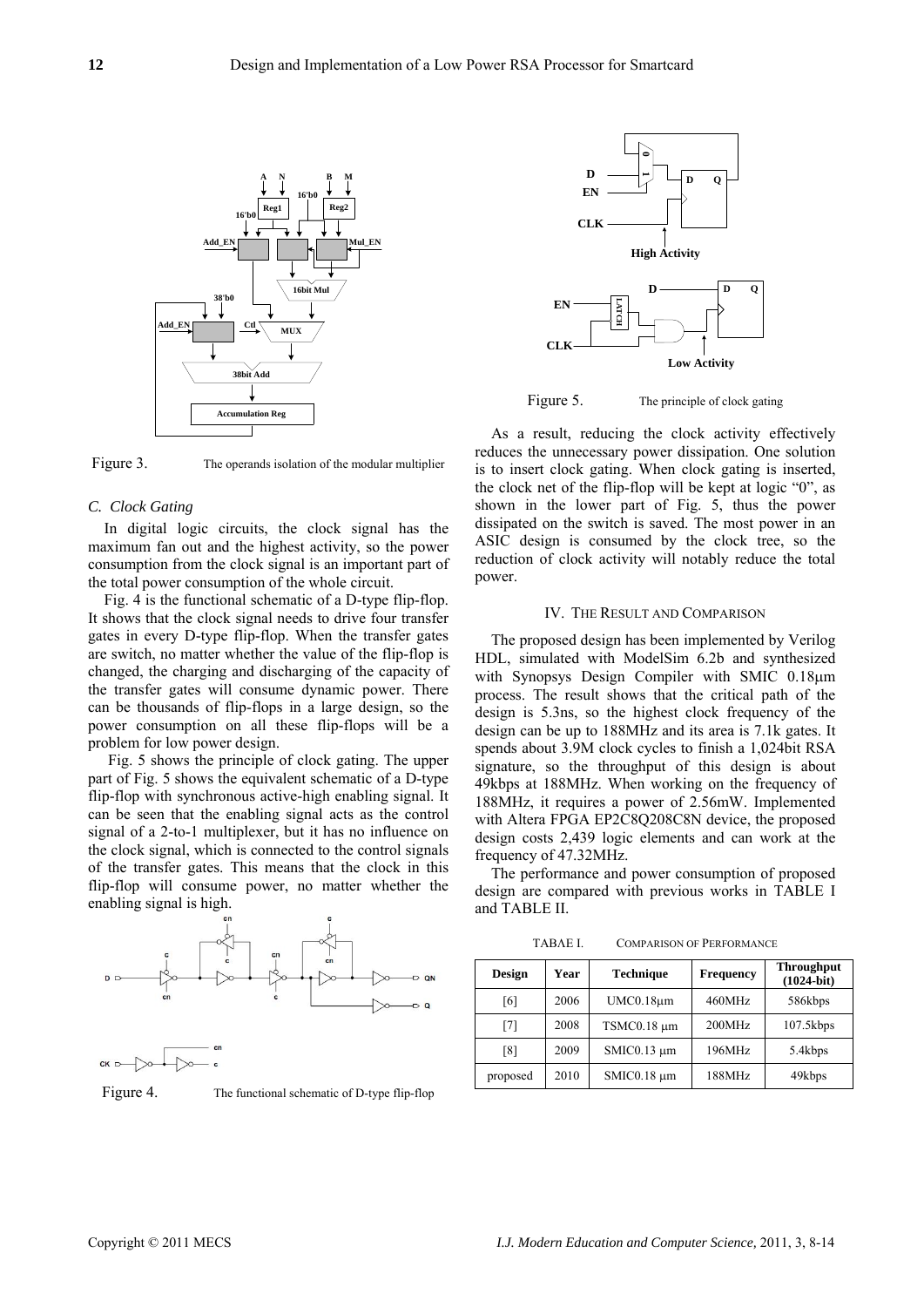

Figure 3. The operands isolation of the modular multiplier

## *C. Clock Gating*

In digital logic circuits, the clock signal has the maximum fan out and the highest activity, so the power consumption from the clock signal is an important part of the total power consumption of the whole circuit.

Fig. 4 is the functional schematic of a D-type flip-flop. It shows that the clock signal needs to drive four transfer gates in every D-type flip-flop. When the transfer gates are switch, no matter whether the value of the flip-flop is changed, the charging and discharging of the capacity of the transfer gates will consume dynamic power. There can be thousands of flip-flops in a large design, so the power consumption on all these flip-flops will be a problem for low power design.

 Fig. 5 shows the principle of clock gating. The upper part of Fig. 5 shows the equivalent schematic of a D-type flip-flop with synchronous active-high enabling signal. It can be seen that the enabling signal acts as the control signal of a 2-to-1 multiplexer, but it has no influence on the clock signal, which is connected to the control signals of the transfer gates. This means that the clock in this flip-flop will consume power, no matter whether the enabling signal is high.





Figure 4. The functional schematic of D-type flip-flop



Figure 5. The principle of clock gating

As a result, reducing the clock activity effectively reduces the unnecessary power dissipation. One solution is to insert clock gating. When clock gating is inserted, the clock net of the flip-flop will be kept at logic "0", as shown in the lower part of Fig. 5, thus the power dissipated on the switch is saved. The most power in an ASIC design is consumed by the clock tree, so the reduction of clock activity will notably reduce the total power.

#### IV. THE RESULT AND COMPARISON

The proposed design has been implemented by Verilog HDL, simulated with ModelSim 6.2b and synthesized with Synopsys Design Compiler with SMIC 0.18μm process. The result shows that the critical path of the design is 5.3ns, so the highest clock frequency of the design can be up to 188MHz and its area is 7.1k gates. It spends about 3.9M clock cycles to finish a 1,024bit RSA signature, so the throughput of this design is about 49kbps at 188MHz. When working on the frequency of 188MHz, it requires a power of 2.56mW. Implemented with Altera FPGA EP2C8Q208C8N device, the proposed design costs 2,439 logic elements and can work at the frequency of 47.32MHz.

The performance and power consumption of proposed design are compared with previous works in TABLE I and TABLE II.

ΤΑΒΛΕ Ι. COMPARISON OF PERFORMANCE

| <b>Design</b> | Year | <b>Technique</b> | <b>Frequency</b> | <b>Throughput</b><br>$(1024-bit)$ |
|---------------|------|------------------|------------------|-----------------------------------|
| [6]           | 2006 | $UMC0.18\mu m$   | 460MHz           | 586kbps                           |
| [7]           | 2008 | TSMC0.18 µm      | 200MHz           | $107.5$ kbps                      |
| [8]           | 2009 | $SMIC0.13 \mu m$ | 196MHz           |                                   |
| proposed      | 2010 | SMIC0.18 µm      | 188MHz           | 49kbps                            |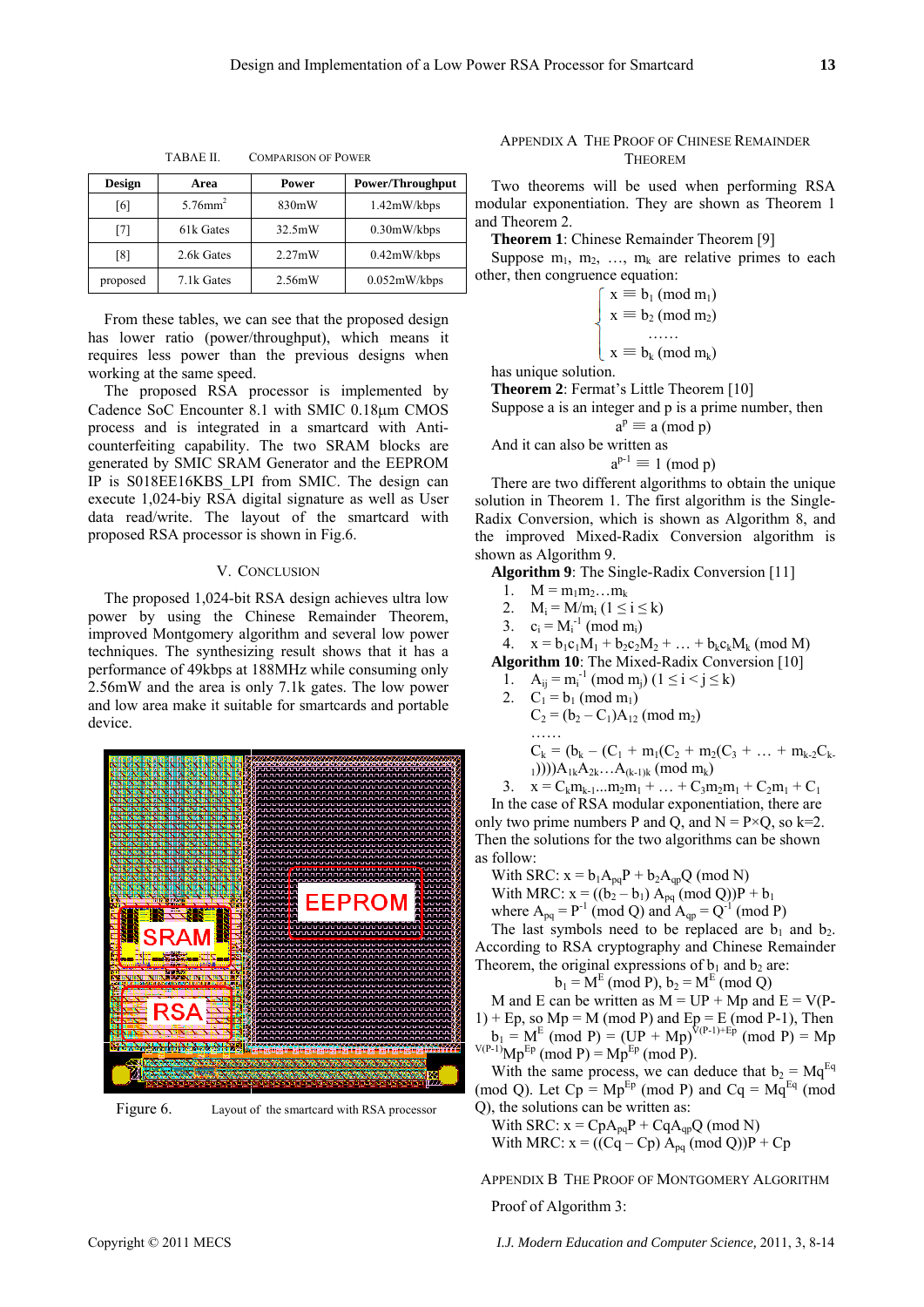| <b>Design</b> | Area                   | <b>Power</b>     | <b>Power/Throughput</b> |
|---------------|------------------------|------------------|-------------------------|
| [6]           | $5.76$ mm <sup>2</sup> | 830mW            | 1.42mW/kbps             |
| 171           | 61k Gates              | 32.5mW           | $0.30$ mW/kbps          |
| [8]           | 2.6k Gates             | $2.27 \text{mW}$ | 0.42mW/kbps             |
| proposed      | 7.1k Gates             | 2.56mW           | 0.052mW/kbps            |

ΤΑΒΛΕ ΙΙ. COMPARISON OF POWER

From these tables, we can see that the proposed design has lower ratio (power/throughput), which means it requires less power than the previous designs when working at the same speed.

The proposed RSA processor is implemented by Cadence SoC Encounter 8.1 with SMIC 0.18μm CMOS process and is integrated in a smartcard with Anticounterfeiting capability. The two SRAM blocks are generated by SMIC SRAM Generator and the EEPROM IP is S018EE16KBS\_LPI from SMIC. The design can execute 1,024-biy RSA digital signature as well as User data read/write. The layout of the smartcard with proposed RSA processor is shown in Fig.6.

## V. CONCLUSION

The proposed 1,024-bit RSA design achieves ultra low power by using the Chinese Remainder Theorem, improved Montgomery algorithm and several low power techniques. The synthesizing result shows that it has a performance of 49kbps at 188MHz while consuming only 2.56mW and the area is only 7.1k gates. The low power and low area make it suitable for smartcards and portable device.



Figure 6. Layout of the smartcard with RSA processor

## APPENDIX A THE PROOF OF CHINESE REMAINDER **THEOREM**

Two theorems will be used when performing RSA modular exponentiation. They are shown as Theorem 1 and Theorem 2.

**Theorem 1**: Chinese Remainder Theorem [9]

Suppose  $m_1$ ,  $m_2$ , ...,  $m_k$  are relative primes to each other, then congruence equation:

$$
\begin{cases}\nx \equiv b_1 \text{ (mod } m_1) \\
x \equiv b_2 \text{ (mod } m_2) \\
\cdots \\
x \equiv b_k \text{ (mod } m_k)\n\end{cases}
$$

has unique solution.

**Theorem 2**: Fermat's Little Theorem [10]

Suppose a is an integer and p is a prime number, then

$$
a^p \equiv a \pmod{p}
$$

And it can also be written as

$$
a^{p-1} \equiv 1 \pmod{p}
$$

There are two different algorithms to obtain the unique solution in Theorem 1. The first algorithm is the Single-Radix Conversion, which is shown as Algorithm 8, and the improved Mixed-Radix Conversion algorithm is shown as Algorithm 9.

**Algorithm 9**: The Single-Radix Conversion [11]

- 1.  $M = m_1 m_2 ... m_k$
- 2.  $M_i = M/m_i$  (1  $\le i \le k$ )
- 3.  $c_i = M_i^{-1} \pmod{m_i}$
- 4.  $x = b_1c_1M_1 + b_2c_2M_2 + ... + b_kc_kM_k \pmod{M}$

**Algorithm 10**: The Mixed-Radix Conversion [10]

- 1.  $A_{ij} = m_i^{-1} \pmod{m_j}$   $(1 \le i \le j \le k)$
- 2.  $C_1 = b_1 \pmod{m_1}$ 
	- $C_2 = (b_2 C_1)A_{12} \pmod{m_2}$ ………

$$
C_k = (b_k - (C_1 + m_1(C_2 + m_2(C_3 + ... + m_{k-2}C_{k-1})))A_{1k}A_{2k}...A_{(k-1)k} (mod m_k)
$$

3.  $x = C_k m_{k-1} ... m_2 m_1 + ... + C_3 m_2 m_1 + C_2 m_1 + C_1$ In the case of RSA modular exponentiation, there are only two prime numbers P and Q, and  $N = P \times Q$ , so k=2. Then the solutions for the two algorithms can be shown as follow:

With SRC:  $x = b_1 A_{pq}P + b_2 A_{qp}Q \pmod{N}$ 

With MRC:  $x = ((b_2 - b_1) A_{pq} \pmod{Q}P + b_1)$ where  $A_{pq} = P^{-1} \pmod{Q}$  and  $A_{qp} = Q^{-1} \pmod{P}$ 

The last symbols need to be replaced are  $b_1$  and  $b_2$ . According to RSA cryptography and Chinese Remainder Theorem, the original expressions of  $b_1$  and  $b_2$  are:

 $b_1 = M^E \pmod{P}$ ,  $b_2 = M^E \pmod{Q}$ 

M and E can be written as  $M = UP + Mp$  and  $E = V(P 1$ ) + Ep, so Mp = M (mod P) and Ep = E (mod P-1), Then  $b_1 = M^E \pmod{P} = (UP + Mp)^{V(P-1)+Ep} \pmod{P} = Mp$  $V(P-1)Mp^{Ep}$  (mod P) = Mp<sup>Ep</sup> (mod P).

With the same process, we can deduce that  $b_2 = Mq^{Eq}$ (mod Q). Let  $Cp = Mp^{Ep}$  (mod P) and  $Cq = Mg^{Eq}$  (mod Q), the solutions can be written as:

With SRC:  $x = CpA_{pq}P + CqA_{qp}Q \pmod{N}$ With MRC:  $x = ((Cq - Cp) A_{pq} \pmod{Q})P + Cp$ 

APPENDIX B THE PROOF OF MONTGOMERY ALGORITHM

Proof of Algorithm 3: